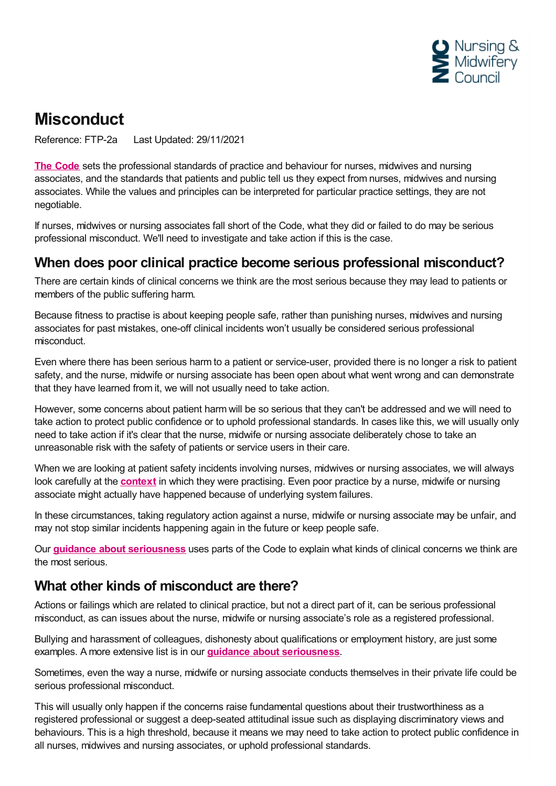

## **Misconduct**

Reference: FTP-2a Last Updated: 29/11/2021

**The [Code](https://www.nmc.org.uk/standards/code/)** sets the professional standards of practice and behaviour for nurses, midwives and nursing associates, and the standards that patients and public tell us they expect from nurses, midwives and nursing associates. While the values and principles can be interpreted for particular practice settings, they are not negotiable.

If nurses, midwives or nursing associates fall short of the Code, what they did or failed to do may be serious professional misconduct. We'll need to investigate and take action if this is the case.

## **When does poor clinical practice become serious professional misconduct?**

There are certain kinds of clinical concerns we think are the most serious because they may lead to patients or members of the public suffering harm.

Because fitness to practise is about keeping people safe, rather than punishing nurses, midwives and nursing associates for past mistakes, one-off clinical incidents won't usually be considered serious professional misconduct.

Even where there has been serious harm to a patient or service-user, provided there is no longer a risk to patient safety, and the nurse, midwife or nursing associate has been open about what went wrong and can demonstrate that they have learned from it, we will not usually need to take action.

However, some concerns about patient harm will be so serious that they can't be addressed and we will need to take action to protect public confidence or to uphold professional standards. In cases like this, we will usually only need to take action if it's clear that the nurse, midwife or nursing associate deliberately chose to take an unreasonable risk with the safety of patients or service users in their care.

When we are looking at patient safety incidents involving nurses, midwives or nursing associates, we will always look carefully at the **[context](https://www.nmc.org.uk/ftp-library/understanding-fitness-to-practise/taking-account-of-context/)** in which they were practising. Even poor practice by a nurse, midwife or nursing associate might actually have happened because of underlying system failures.

In these circumstances, taking regulatory action against a nurse, midwife or nursing associate may be unfair, and may not stop similar incidents happening again in the future or keep people safe.

Our **guidance about [seriousness](https://www.nmc.org.uk/ftp-library/understanding-fitness-to-practise/how-we-determine-seriousness/)** uses parts of the Code to explain what kinds of clinical concerns we think are the most serious.

## **What other kinds of misconduct are there?**

Actions or failings which are related to clinical practice, but not a direct part of it, can be serious professional misconduct, as can issues about the nurse, midwife or nursing associate's role as a registered professional.

Bullying and harassment of colleagues, dishonesty about qualifications or employment history, are just some examples. A more extensive list is in our **guidance about [seriousness](https://www.nmc.org.uk/ftp-library/understanding-fitness-to-practise/how-we-determine-seriousness/)**.

Sometimes, even the way a nurse, midwife or nursing associate conducts themselves in their private life could be serious professional misconduct.

This will usually only happen if the concerns raise fundamental questions about their trustworthiness as a registered professional or suggest a deep-seated attitudinal issue such as displaying discriminatory views and behaviours. This is a high threshold, because it means we may need to take action to protect public confidence in all nurses, midwives and nursing associates, or uphold professional standards.